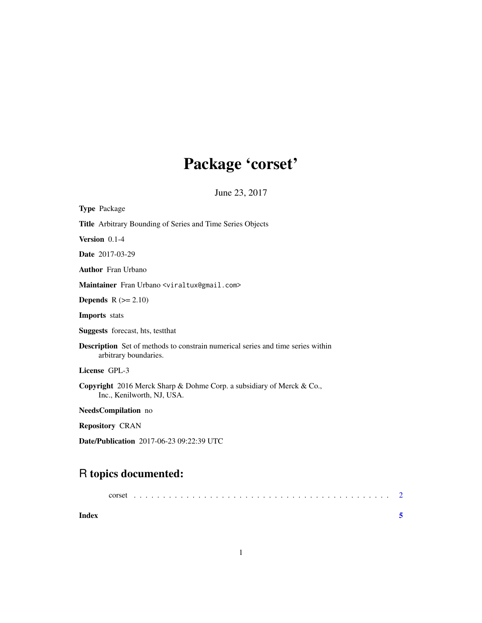## Package 'corset'

June 23, 2017

| <b>Type Package</b>                                                                                      |
|----------------------------------------------------------------------------------------------------------|
| <b>Title</b> Arbitrary Bounding of Series and Time Series Objects                                        |
| Version 0.1-4                                                                                            |
| <b>Date</b> 2017-03-29                                                                                   |
| <b>Author</b> Fran Urbano                                                                                |
| Maintainer Fran Urbano <viraltux@gmail.com></viraltux@gmail.com>                                         |
| <b>Depends</b> $R (= 2.10)$                                                                              |
| <b>Imports</b> stats                                                                                     |
| <b>Suggests</b> forecast, hts, test that                                                                 |
| Description Set of methods to constrain numerical series and time series within<br>arbitrary boundaries. |
| License GPL-3                                                                                            |
| Copyright 2016 Merck Sharp & Dohme Corp. a subsidiary of Merck & Co.,<br>Inc., Kenilworth, NJ, USA.      |
| NeedsCompilation no                                                                                      |
| <b>Repository CRAN</b>                                                                                   |
| <b>Date/Publication</b> 2017-06-23 09:22:39 UTC                                                          |

### R topics documented:

| Index |  |  |  |  |  |  |  |  |  |  |  |  |  |  |  |  |  |  |
|-------|--|--|--|--|--|--|--|--|--|--|--|--|--|--|--|--|--|--|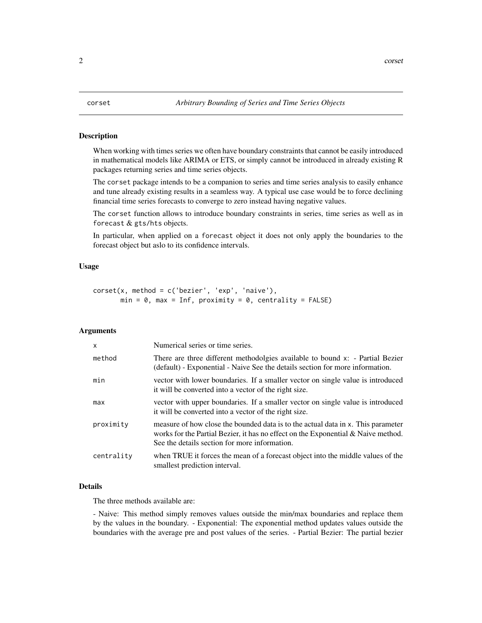<span id="page-1-0"></span>

#### Description

When working with times series we often have boundary constraints that cannot be easily introduced in mathematical models like ARIMA or ETS, or simply cannot be introduced in already existing R packages returning series and time series objects.

The corset package intends to be a companion to series and time series analysis to easily enhance and tune already existing results in a seamless way. A typical use case would be to force declining financial time series forecasts to converge to zero instead having negative values.

The corset function allows to introduce boundary constraints in series, time series as well as in forecast & gts/hts objects.

In particular, when applied on a forecast object it does not only apply the boundaries to the forecast object but aslo to its confidence intervals.

#### Usage

```
corset(x, method = c('bezier', 'exp', 'naive'),
      min = 0, max = Inf, proximity = 0, centrality = FALSE)
```
#### Arguments

| X          | Numerical series or time series.                                                                                                                                                                                          |
|------------|---------------------------------------------------------------------------------------------------------------------------------------------------------------------------------------------------------------------------|
| method     | There are three different methodolgies available to bound x: - Partial Bezier<br>(default) - Exponential - Naive See the details section for more information.                                                            |
| min        | vector with lower boundaries. If a smaller vector on single value is introduced<br>it will be converted into a vector of the right size.                                                                                  |
| max        | vector with upper boundaries. If a smaller vector on single value is introduced<br>it will be converted into a vector of the right size.                                                                                  |
| proximity  | measure of how close the bounded data is to the actual data in x. This parameter<br>works for the Partial Bezier, it has no effect on the Exponential $\&$ Naive method.<br>See the details section for more information. |
| centrality | when TRUE it forces the mean of a forecast object into the middle values of the<br>smallest prediction interval.                                                                                                          |

#### Details

The three methods available are:

- Naive: This method simply removes values outside the min/max boundaries and replace them by the values in the boundary. - Exponential: The exponential method updates values outside the boundaries with the average pre and post values of the series. - Partial Bezier: The partial bezier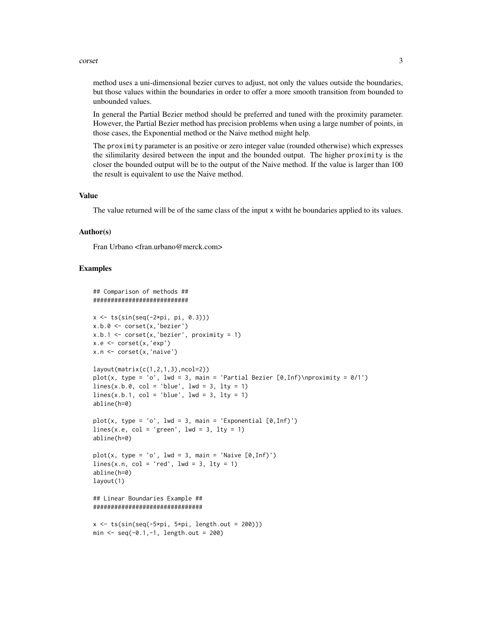#### corset 3

method uses a uni-dimensional bezier curves to adjust, not only the values outside the boundaries, but those values within the boundaries in order to offer a more smooth transition from bounded to unbounded values.

In general the Partial Bezier method should be preferred and tuned with the proximity parameter. However, the Partial Bezier method has precision problems when using a large number of points, in those cases, the Exponential method or the Naive method might help.

The proximity parameter is an positive or zero integer value (rounded otherwise) which expresses the silimilarity desired between the input and the bounded output. The higher proximity is the closer the bounded output will be to the output of the Naive method. If the value is larger than 100 the result is equivalent to use the Naive method.

#### Value

The value returned will be of the same class of the input x witht he boundaries applied to its values.

#### Author(s)

Fran Urbano <fran.urbano@merck.com>

#### Examples

```
## Comparison of methods ##
###########################
x \le -t s(\sin(\sec(-2*pi, pi, 0.3)))x.b.0 \leq corset(x, 'bezier')
x.b.1 \leftarrow \text{correct}(x, 'bezier', proximity = 1)x.e < -\text{const}(x, 'exp')x.n <- corset(x,'naive')
layout(matrix(c(1,2,1,3),ncol=2))plot(x, type = 'o', lwd = 3, main = 'Partial Bezier [0, \text{Inf})\n\rightarrow 0/1')
lines(x.b.0, col = 'blue', lwd = 3, lty = 1)lines(x.b.1, col = 'blue', lwd = 3, lty = 1)
abline(h=0)
plot(x, type = 'o', lwd = 3, main = 'Exponential [0, Inf)')lines(x.e, col = 'green', lwd = 3, lty = 1)
abline(h=0)
plot(x, type = 'o', lwd = 3, main = 'Naive [0, Inf)')lines(x.n, col = 'red', lwd = 3, lty = 1)
abline(h=0)
layout(1)
## Linear Boundaries Example ##
###############################
x \leftarrow ts(sin(seq(-5*pi, 5*pi, length.out = 200)))min < -seq(-0.1, -1, length.out = 200)
```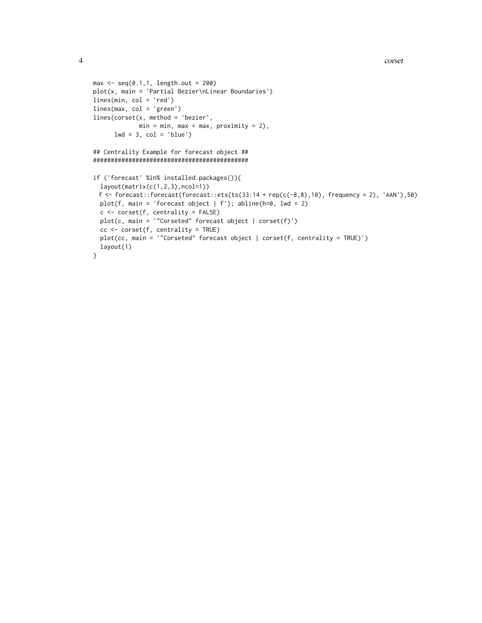```
max < -seq(0.1, 1, length.out = 200)
plot(x, main = 'Partial Bezier\nLinear Boundaries')
lines(min, col = 'red')
lines(max, col = 'green')
lines(corset(x, method = 'bezier',
            min = min, max = max, proximity = 2),
      lwd = 3, col = 'blue')## Centrality Example for forecast object ##
############################################
if ('forecast' %in% installed.packages()){
  layout(matrix(c(1,2,3),ncol=1))
 f \leftarrow forecast::forecast(forecast::ets(ts(33:14 + rep(c(-8,8),10), frequency = 2), 'AAN'),50)
  plot(f, main = 'forecast object | f'); abline(h=0, lwd = 2)
  c <- corset(f, centrality = FALSE)
  plot(c, main = '"Corseted" forecast object | corset(f)')
```
plot(cc, main = '"Corseted" forecast object | corset(f, centrality = TRUE)')

cc <- corset(f, centrality = TRUE)

layout(1)

}